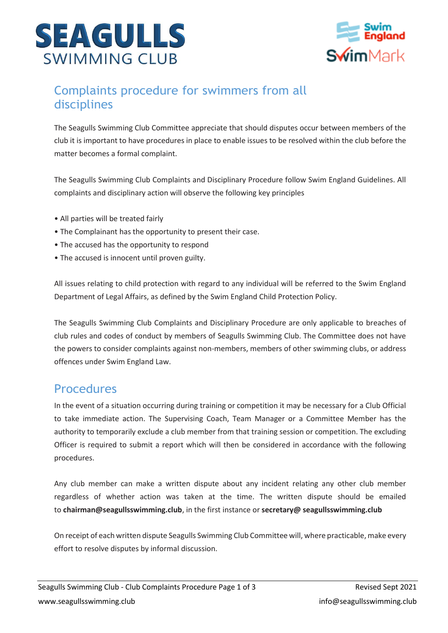



## Complaints procedure for swimmers from all disciplines

The Seagulls Swimming Club Committee appreciate that should disputes occur between members of the club it is important to have procedures in place to enable issues to be resolved within the club before the matter becomes a formal complaint.

The Seagulls Swimming Club Complaints and Disciplinary Procedure follow Swim England Guidelines. All complaints and disciplinary action will observe the following key principles

- All parties will be treated fairly
- The Complainant has the opportunity to present their case.
- The accused has the opportunity to respond
- The accused is innocent until proven guilty.

All issues relating to child protection with regard to any individual will be referred to the Swim England Department of Legal Affairs, as defined by the Swim England Child Protection Policy.

The Seagulls Swimming Club Complaints and Disciplinary Procedure are only applicable to breaches of club rules and codes of conduct by members of Seagulls Swimming Club. The Committee does not have the powers to consider complaints against non-members, members of other swimming clubs, or address offences under Swim England Law.

## **Procedures**

In the event of a situation occurring during training or competition it may be necessary for a Club Official to take immediate action. The Supervising Coach, Team Manager or a Committee Member has the authority to temporarily exclude a club member from that training session or competition. The excluding Officer is required to submit a report which will then be considered in accordance with the following procedures.

Any club member can make a written dispute about any incident relating any other club member regardless of whether action was taken at the time. The written dispute should be emailed to **chairman@seagullsswimming.club**, in the first instance or **secretary@ seagullsswimming.club**

On receipt of each written dispute Seagulls Swimming Club Committee will, where practicable, make every effort to resolve disputes by informal discussion.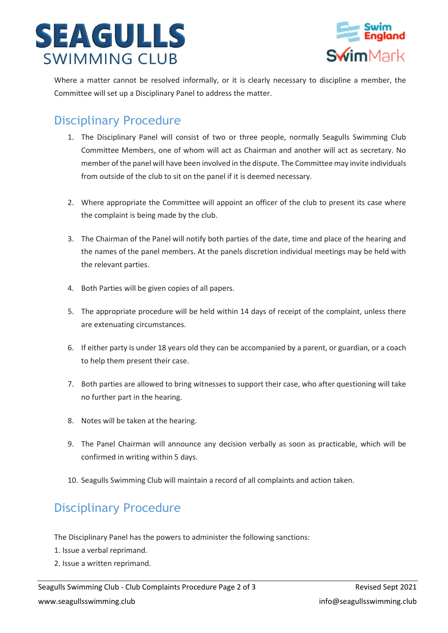



Where a matter cannot be resolved informally, or it is clearly necessary to discipline a member, the Committee will set up a Disciplinary Panel to address the matter.

## Disciplinary Procedure

- 1. The Disciplinary Panel will consist of two or three people, normally Seagulls Swimming Club Committee Members, one of whom will act as Chairman and another will act as secretary. No member of the panel will have been involved in the dispute. The Committee may invite individuals from outside of the club to sit on the panel if it is deemed necessary.
- 2. Where appropriate the Committee will appoint an officer of the club to present its case where the complaint is being made by the club.
- 3. The Chairman of the Panel will notify both parties of the date, time and place of the hearing and the names of the panel members. At the panels discretion individual meetings may be held with the relevant parties.
- 4. Both Parties will be given copies of all papers.
- 5. The appropriate procedure will be held within 14 days of receipt of the complaint, unless there are extenuating circumstances.
- 6. If either party is under 18 years old they can be accompanied by a parent, or guardian, or a coach to help them present their case.
- 7. Both parties are allowed to bring witnesses to support their case, who after questioning will take no further part in the hearing.
- 8. Notes will be taken at the hearing.
- 9. The Panel Chairman will announce any decision verbally as soon as practicable, which will be confirmed in writing within 5 days.
- 10. Seagulls Swimming Club will maintain a record of all complaints and action taken.

## Disciplinary Procedure

The Disciplinary Panel has the powers to administer the following sanctions:

- 1. Issue a verbal reprimand.
- 2. Issue a written reprimand.